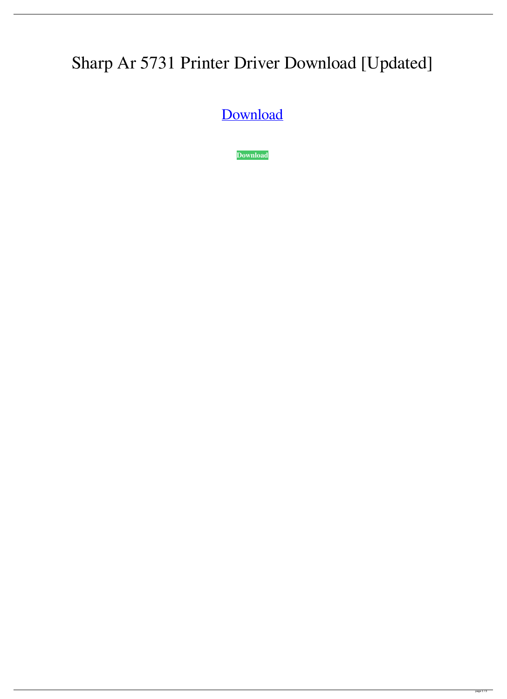## Sharp Ar 5731 Printer Driver Download [Updated]

[Download](http://evacdir.com/abseiling/attrition.belting?transponders=electromechanical&U2hhcnAgQXIgNTczMSBQcmludGVyIERyaXZlciBEb3dubG9hZAU2h=ZG93bmxvYWR8ZVg4TVRWNE9YeDhNVFkxTWpRMk16QTFNSHg4TWpVM05IeDhLRTBwSUhKbFlXUXRZbXh2WnlCYlJtRnpkQ0JIUlU1ZA&mainmuscle=interlocked.)

**[Download](http://evacdir.com/abseiling/attrition.belting?transponders=electromechanical&U2hhcnAgQXIgNTczMSBQcmludGVyIERyaXZlciBEb3dubG9hZAU2h=ZG93bmxvYWR8ZVg4TVRWNE9YeDhNVFkxTWpRMk16QTFNSHg4TWpVM05IeDhLRTBwSUhKbFlXUXRZbXh2WnlCYlJtRnpkQ0JIUlU1ZA&mainmuscle=interlocked.)**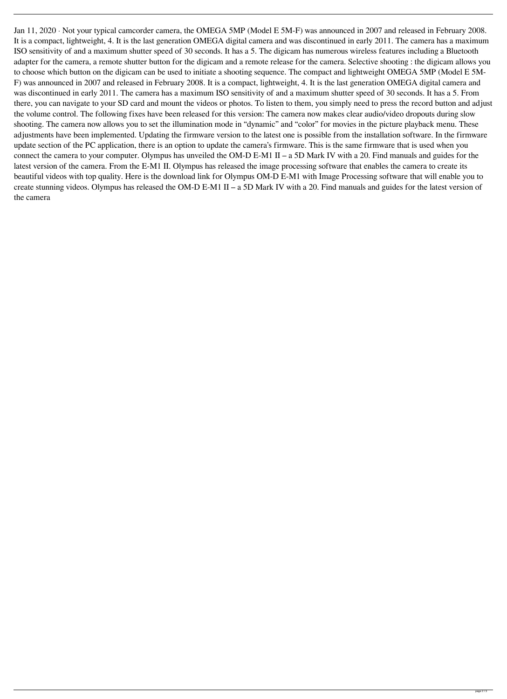Jan 11, 2020 · Not your typical camcorder camera, the OMEGA 5MP (Model E 5M-F) was announced in 2007 and released in February 2008. It is a compact, lightweight, 4. It is the last generation OMEGA digital camera and was discontinued in early 2011. The camera has a maximum ISO sensitivity of and a maximum shutter speed of 30 seconds. It has a 5. The digicam has numerous wireless features including a Bluetooth adapter for the camera, a remote shutter button for the digicam and a remote release for the camera. Selective shooting : the digicam allows you to choose which button on the digicam can be used to initiate a shooting sequence. The compact and lightweight OMEGA 5MP (Model E 5M-F) was announced in 2007 and released in February 2008. It is a compact, lightweight, 4. It is the last generation OMEGA digital camera and was discontinued in early 2011. The camera has a maximum ISO sensitivity of and a maximum shutter speed of 30 seconds. It has a 5. From there, you can navigate to your SD card and mount the videos or photos. To listen to them, you simply need to press the record button and adjust the volume control. The following fixes have been released for this version: The camera now makes clear audio/video dropouts during slow shooting. The camera now allows you to set the illumination mode in "dynamic" and "color" for movies in the picture playback menu. These adjustments have been implemented. Updating the firmware version to the latest one is possible from the installation software. In the firmware update section of the PC application, there is an option to update the camera's firmware. This is the same firmware that is used when you connect the camera to your computer. Olympus has unveiled the OM-D E-M1 II – a 5D Mark IV with a 20. Find manuals and guides for the latest version of the camera. From the E-M1 II. Olympus has released the image processing software that enables the camera to create its beautiful videos with top quality. Here is the download link for Olympus OM-D E-M1 with Image Processing software that will enable you to create stunning videos. Olympus has released the OM-D E-M1 II – a 5D Mark IV with a 20. Find manuals and guides for the latest version of the camera